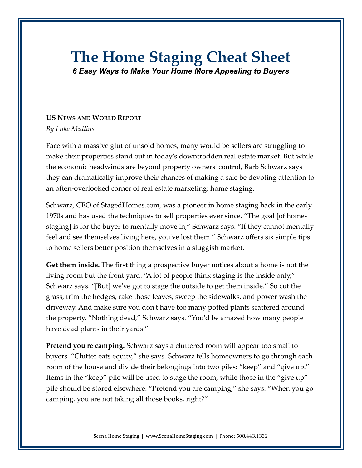## **The Home Staging Cheat Sheet**

*6 Easy Ways to Make Your Home More Appealing to Buyers*

## **US NEWS AND WORLD REPORT**

*By Luke Mullins*

Face with a massive glut of unsold homes, many would be sellers are struggling to make their properties stand out in today's downtrodden real estate market. But while the economic headwinds are beyond property owners' control, Barb Schwarz says they can dramatically improve their chances of making a sale be devoting attention to an often-overlooked corner of real estate marketing: home staging.

Schwarz, CEO of StagedHomes.com, was a pioneer in home staging back in the early 1970s and has used the techniques to sell properties ever since. "The goal [of homestaging] is for the buyer to mentally move in," Schwarz says. "If they cannot mentally feel and see themselves living here, you've lost them." Schwarz offers six simple tips to home sellers better position themselves in a sluggish market.

**Get them inside.** The first thing a prospective buyer notices about a home is not the living room but the front yard. "A lot of people think staging is the inside only," Schwarz says. "[But] we've got to stage the outside to get them inside." So cut the grass, trim the hedges, rake those leaves, sweep the sidewalks, and power wash the driveway. And make sure you don't have too many potted plants scattered around the property. "Nothing dead," Schwarz says. "You'd be amazed how many people have dead plants in their yards."

**Pretend you're camping.** Schwarz says a cluttered room will appear too small to buyers. "Clutter eats equity," she says. Schwarz tells homeowners to go through each room of the house and divide their belongings into two piles: "keep" and "give up." Items in the "keep" pile will be used to stage the room, while those in the "give up" pile should be stored elsewhere. "Pretend you are camping," she says. "When you go camping, you are not taking all those books, right?"